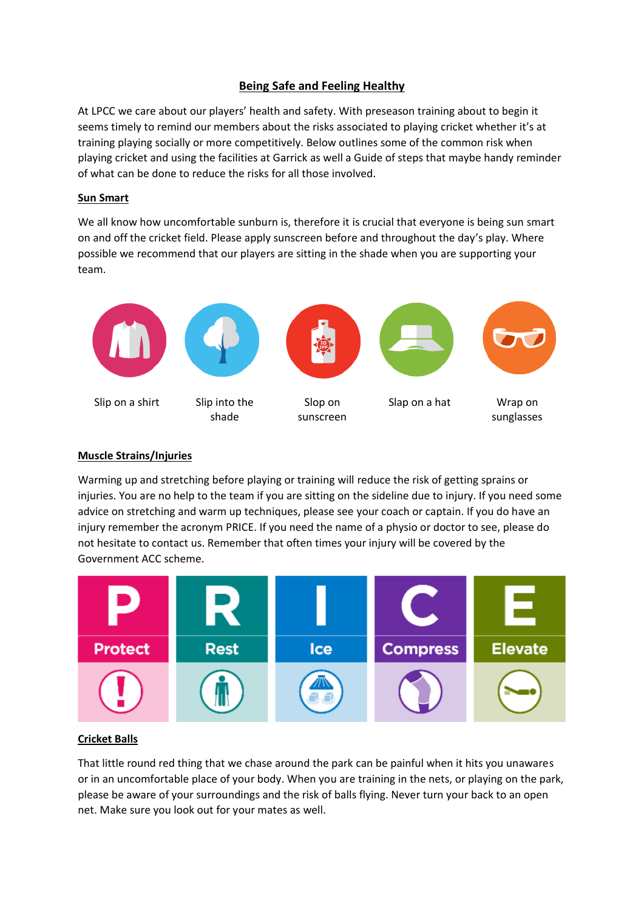#### **Being Safe and Feeling Healthy**

At LPCC we care about our players' health and safety. With preseason training about to begin it seems timely to remind our members about the risks associated to playing cricket whether it's at training playing socially or more competitively. Below outlines some of the common risk when playing cricket and using the facilities at Garrick as well a Guide of steps that maybe handy reminder of what can be done to reduce the risks for all those involved.

#### **Sun Smart**

We all know how uncomfortable sunburn is, therefore it is crucial that everyone is being sun smart on and off the cricket field. Please apply sunscreen before and throughout the day's play. Where possible we recommend that our players are sitting in the shade when you are supporting your team.



#### **Muscle Strains/Injuries**

Warming up and stretching before playing or training will reduce the risk of getting sprains or injuries. You are no help to the team if you are sitting on the sideline due to injury. If you need some advice on stretching and warm up techniques, please see your coach or captain. If you do have an injury remember the acronym PRICE. If you need the name of a physio or doctor to see, please do not hesitate to contact us. Remember that often times your injury will be covered by the Government ACC scheme.



#### **Cricket Balls**

That little round red thing that we chase around the park can be painful when it hits you unawares or in an uncomfortable place of your body. When you are training in the nets, or playing on the park, please be aware of your surroundings and the risk of balls flying. Never turn your back to an open net. Make sure you look out for your mates as well.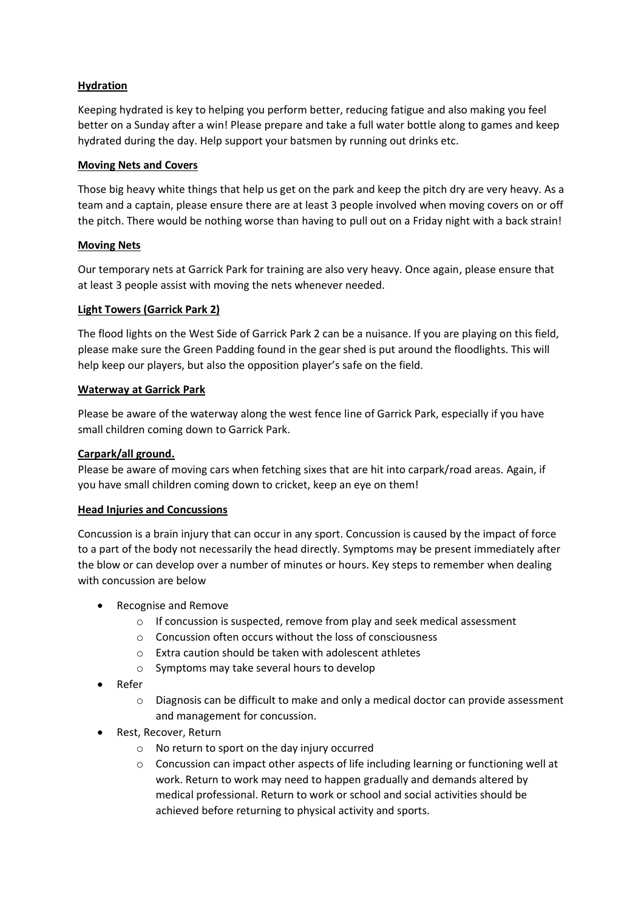#### **Hydration**

Keeping hydrated is key to helping you perform better, reducing fatigue and also making you feel better on a Sunday after a win! Please prepare and take a full water bottle along to games and keep hydrated during the day. Help support your batsmen by running out drinks etc.

#### **Moving Nets and Covers**

Those big heavy white things that help us get on the park and keep the pitch dry are very heavy. As a team and a captain, please ensure there are at least 3 people involved when moving covers on or off the pitch. There would be nothing worse than having to pull out on a Friday night with a back strain!

#### **Moving Nets**

Our temporary nets at Garrick Park for training are also very heavy. Once again, please ensure that at least 3 people assist with moving the nets whenever needed.

#### **Light Towers (Garrick Park 2)**

The flood lights on the West Side of Garrick Park 2 can be a nuisance. If you are playing on this field, please make sure the Green Padding found in the gear shed is put around the floodlights. This will help keep our players, but also the opposition player's safe on the field.

#### **Waterway at Garrick Park**

Please be aware of the waterway along the west fence line of Garrick Park, especially if you have small children coming down to Garrick Park.

#### **Carpark/all ground.**

Please be aware of moving cars when fetching sixes that are hit into carpark/road areas. Again, if you have small children coming down to cricket, keep an eye on them!

#### **Head Injuries and Concussions**

Concussion is a brain injury that can occur in any sport. Concussion is caused by the impact of force to a part of the body not necessarily the head directly. Symptoms may be present immediately after the blow or can develop over a number of minutes or hours. Key steps to remember when dealing with concussion are below

- Recognise and Remove
	- $\circ$  If concussion is suspected, remove from play and seek medical assessment
	- o Concussion often occurs without the loss of consciousness
	- o Extra caution should be taken with adolescent athletes
	- o Symptoms may take several hours to develop
- Refer
	- o Diagnosis can be difficult to make and only a medical doctor can provide assessment and management for concussion.
- Rest, Recover, Return
	- o No return to sport on the day injury occurred
	- $\circ$  Concussion can impact other aspects of life including learning or functioning well at work. Return to work may need to happen gradually and demands altered by medical professional. Return to work or school and social activities should be achieved before returning to physical activity and sports.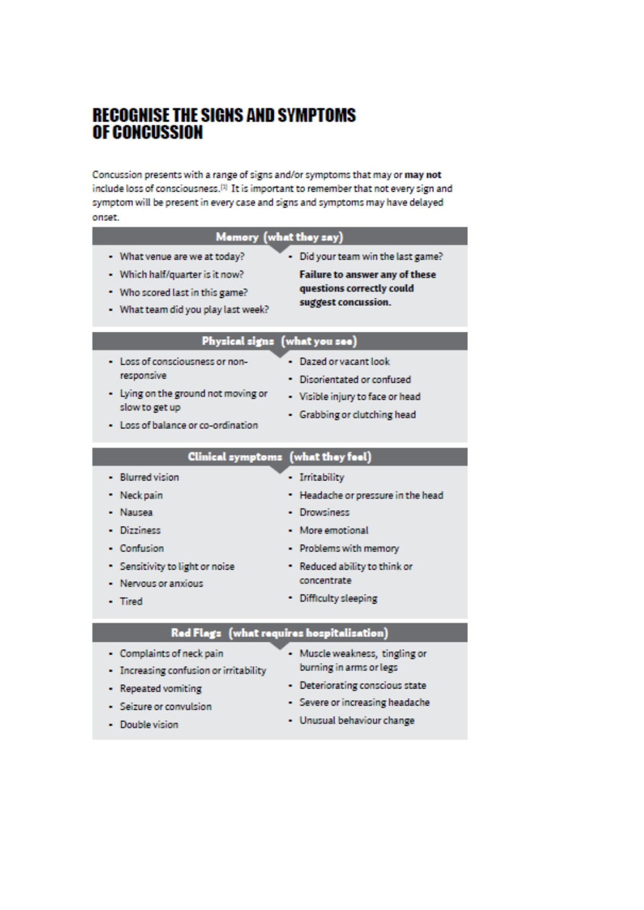### **RECOGNISE THE SIGNS AND SYMPTOMS OF CONCUSSION**

Concussion presents with a range of signs and/or symptoms that may or may not include loss of consciousness.<sup>[3]</sup> It is important to remember that not every sign and symptom will be present in every case and signs and symptoms may have delayed onset.

| Memory (what they say)                                                                                                                       |                                                                                                                           |
|----------------------------------------------------------------------------------------------------------------------------------------------|---------------------------------------------------------------------------------------------------------------------------|
| - What venue are we at today?<br>- Which half/quarter is it now?<br>• Who scored last in this game?<br>- What team did you play last week?   | - Did your team win the last game?<br>Failure to answer any of these<br>questions correctly could<br>suggest concussion.  |
| Physical signs (what you see)                                                                                                                |                                                                                                                           |
| - Loss of consciousness or non-<br>responsive<br>- Lying on the ground not moving or<br>slow to get up<br>- Loss of balance or co-ordination | - Dazed or vacant look<br>· Disorientated or confused<br>- Visible injury to face or head<br>- Grabbing or clutching head |
|                                                                                                                                              | Clinical symptoms (what they feel)                                                                                        |
| - Blurred vision<br>Neck pain<br>Nausea<br>Dizziness                                                                                         | - Irritability<br>• Headache or pressure in the head<br>· Drowsiness<br>- More emotional                                  |
| - Confusion<br>Sensitivity to light or noise<br>Nervous or anxious<br>- Tired                                                                | - Problems with memory<br>- Reduced ability to think or<br>concentrate<br>- Difficulty sleeping                           |
| Red Flags (what requires hospitalisation)                                                                                                    |                                                                                                                           |

- Increasing confusion or irritability
- burning in arms or legs
- Repeated vomiting
- Deteriorating conscious state
- Seizure or convulsion
- Severe or increasing headache

- Double vision

- Unusual behaviour change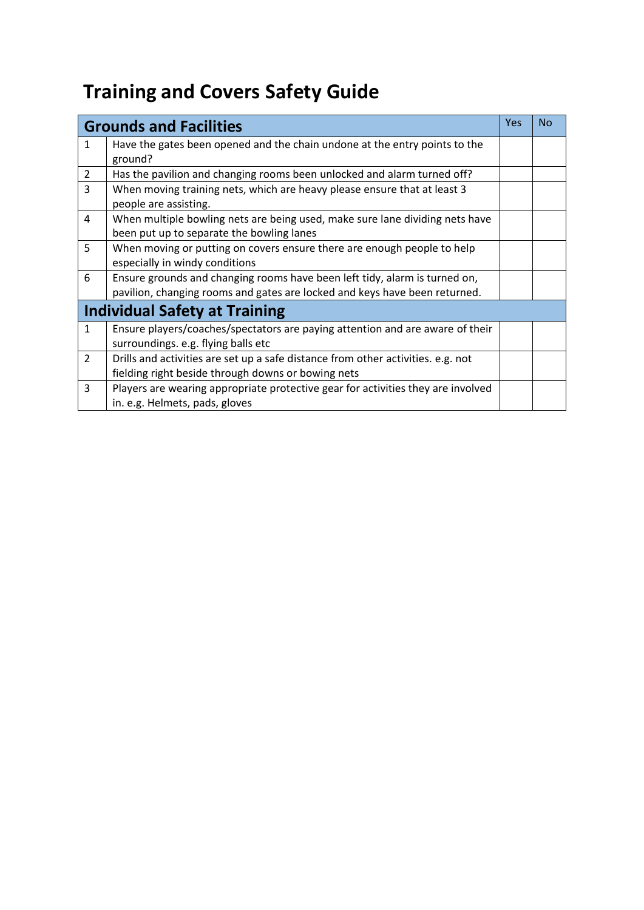# **Training and Covers Safety Guide**

|                                      | <b>Grounds and Facilities</b>                                                    | Yes | No |  |
|--------------------------------------|----------------------------------------------------------------------------------|-----|----|--|
| $\mathbf{1}$                         | Have the gates been opened and the chain undone at the entry points to the       |     |    |  |
|                                      | ground?                                                                          |     |    |  |
| $\overline{2}$                       | Has the pavilion and changing rooms been unlocked and alarm turned off?          |     |    |  |
| 3                                    | When moving training nets, which are heavy please ensure that at least 3         |     |    |  |
|                                      | people are assisting.                                                            |     |    |  |
| 4                                    | When multiple bowling nets are being used, make sure lane dividing nets have     |     |    |  |
|                                      | been put up to separate the bowling lanes                                        |     |    |  |
| 5                                    | When moving or putting on covers ensure there are enough people to help          |     |    |  |
|                                      | especially in windy conditions                                                   |     |    |  |
| 6                                    | Ensure grounds and changing rooms have been left tidy, alarm is turned on,       |     |    |  |
|                                      | pavilion, changing rooms and gates are locked and keys have been returned.       |     |    |  |
| <b>Individual Safety at Training</b> |                                                                                  |     |    |  |
| $\mathbf{1}$                         | Ensure players/coaches/spectators are paying attention and are aware of their    |     |    |  |
|                                      | surroundings. e.g. flying balls etc                                              |     |    |  |
| $\overline{2}$                       | Drills and activities are set up a safe distance from other activities. e.g. not |     |    |  |
|                                      | fielding right beside through downs or bowing nets                               |     |    |  |
| 3                                    | Players are wearing appropriate protective gear for activities they are involved |     |    |  |
|                                      | in. e.g. Helmets, pads, gloves                                                   |     |    |  |